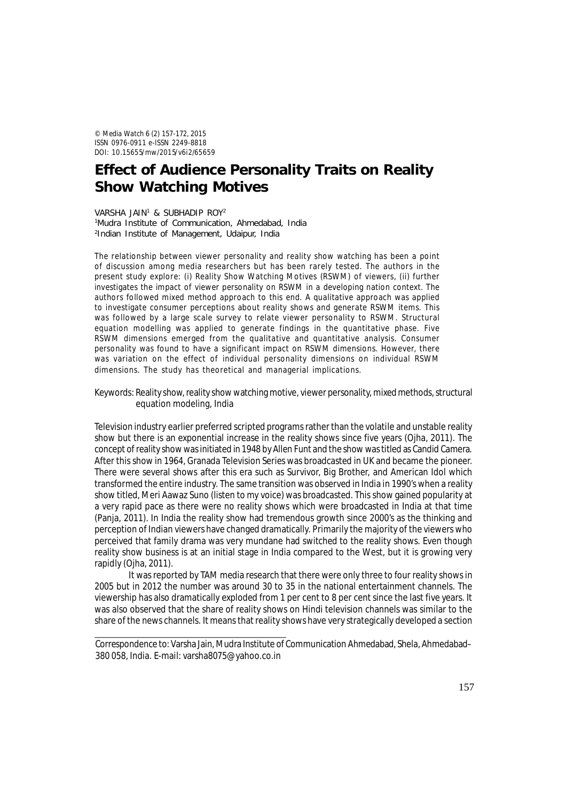© *Media Watch* 6 (2) 157-172, 2015 ISSN 0976-0911 e-ISSN 2249-8818 DOI: 10.15655/mw/2015/v6i2/65659

# **Effect of Audience Personality Traits on Reality Show Watching Motives**

VARSHA JAIN<sup>1</sup> & SUBHADIP ROY<sup>2</sup> 1Mudra Institute of Communication, Ahmedabad, India 2 Indian Institute of Management, Udaipur, India

The relationship between viewer personality and reality show watching has been a point of discussion among media researchers but has been rarely tested. The authors in the present study explore: (i) Reality Show Watching Motives (RSWM) of viewers, (ii) further investigates the impact of viewer personality on RSWM in a developing nation context. The authors followed mixed method approach to this end. A qualitative approach was applied to investigate consumer perceptions about reality shows and generate RSWM items. This was followed by a large scale survey to relate viewer personality to RSWM. Structural equation modelling was applied to generate findings in the quantitative phase. Five RSWM dimensions emerged from the qualitative and quantitative analysis. Consumer personality was found to have a significant impact on RSWM dimensions. However, there was variation on the effect of individual personality dimensions on individual RSWM dimensions. The study has theoretical and managerial implications.

## Keywords: Reality show, reality show watching motive, viewer personality, mixed methods, structural equation modeling, India

Television industry earlier preferred scripted programs rather than the volatile and unstable reality show but there is an exponential increase in the reality shows since five years (Ojha, 2011). The concept of reality show was initiated in 1948 by Allen Funt and the show was titled as Candid Camera. After this show in 1964, Granada Television Series was broadcasted in UK and became the pioneer. There were several shows after this era such as Survivor, Big Brother, and American Idol which transformed the entire industry. The same transition was observed in India in 1990's when a reality show titled, Meri Aawaz Suno (listen to my voice) was broadcasted. This show gained popularity at a very rapid pace as there were no reality shows which were broadcasted in India at that time (Panja, 2011). In India the reality show had tremendous growth since 2000's as the thinking and perception of Indian viewers have changed dramatically. Primarily the majority of the viewers who perceived that family drama was very mundane had switched to the reality shows. Even though reality show business is at an initial stage in India compared to the West, but it is growing very rapidly (Ojha, 2011).

It was reported by TAM media research that there were only three to four reality shows in 2005 but in 2012 the number was around 30 to 35 in the national entertainment channels. The viewership has also dramatically exploded from 1 per cent to 8 per cent since the last five years. It was also observed that the share of reality shows on Hindi television channels was similar to the share of the news channels. It means that reality shows have very strategically developed a section

Correspondence to: Varsha Jain, Mudra Institute of Communication Ahmedabad, Shela, Ahmedabad– 380 058, India. E-mail: varsha8075@yahoo.co.in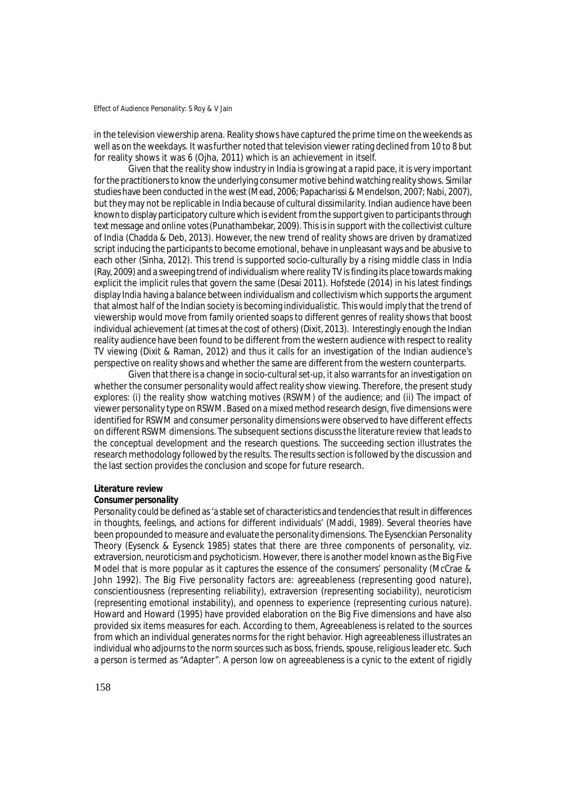in the television viewership arena. Reality shows have captured the prime time on the weekends as well as on the weekdays. It was further noted that television viewer rating declined from 10 to 8 but for reality shows it was 6 (Ojha, 2011) which is an achievement in itself.

Given that the reality show industry in India is growing at a rapid pace, it is very important for the practitioners to know the underlying consumer motive behind watching reality shows. Similar studies have been conducted in the west (Mead, 2006; Papacharissi & Mendelson, 2007; Nabi, 2007), but they may not be replicable in India because of cultural dissimilarity. Indian audience have been known to display participatory culture which is evident from the support given to participants through text message and online votes (Punathambekar, 2009). This is in support with the collectivist culture of India (Chadda & Deb, 2013). However, the new trend of reality shows are driven by dramatized script inducing the participants to become emotional, behave in unpleasant ways and be abusive to each other (Sinha, 2012). This trend is supported socio-culturally by a rising middle class in India (Ray, 2009) and a sweeping trend of individualism where reality TV is finding its place towards making explicit the implicit rules that govern the same (Desai 2011). Hofstede (2014) in his latest findings display India having a balance between individualism and collectivism which supports the argument that almost half of the Indian society is becoming individualistic. This would imply that the trend of viewership would move from family oriented soaps to different genres of reality shows that boost individual achievement (at times at the cost of others) (Dixit, 2013). Interestingly enough the Indian reality audience have been found to be different from the western audience with respect to reality TV viewing (Dixit & Raman, 2012) and thus it calls for an investigation of the Indian audience's perspective on reality shows and whether the same are different from the western counterparts.

Given that there is a change in socio-cultural set-up, it also warrants for an investigation on whether the consumer personality would affect reality show viewing. Therefore, the present study explores: (i) the reality show watching motives (RSWM) of the audience; and (ii) The impact of viewer personality type on RSWM. Based on a mixed method research design, five dimensions were identified for RSWM and consumer personality dimensions were observed to have different effects on different RSWM dimensions. The subsequent sections discuss the literature review that leads to the conceptual development and the research questions. The succeeding section illustrates the research methodology followed by the results. The results section is followed by the discussion and the last section provides the conclusion and scope for future research.

#### **Literature review**

#### *Consumer personality*

Personality could be defined as 'a stable set of characteristics and tendencies that result in differences in thoughts, feelings, and actions for different individuals' (Maddi, 1989). Several theories have been propounded to measure and evaluate the personality dimensions. The Eysenckian Personality Theory (Eysenck & Eysenck 1985) states that there are three components of personality, viz. extraversion, neuroticism and psychoticism. However, there is another model known as the Big Five Model that is more popular as it captures the essence of the consumers' personality (McCrae & John 1992). The Big Five personality factors are: agreeableness (representing good nature), conscientiousness (representing reliability), extraversion (representing sociability), neuroticism (representing emotional instability), and openness to experience (representing curious nature). Howard and Howard (1995) have provided elaboration on the Big Five dimensions and have also provided six items measures for each. According to them, Agreeableness is related to the sources from which an individual generates norms for the right behavior. High agreeableness illustrates an individual who adjourns to the norm sources such as boss, friends, spouse, religious leader etc. Such a person is termed as "Adapter". A person low on agreeableness is a cynic to the extent of rigidly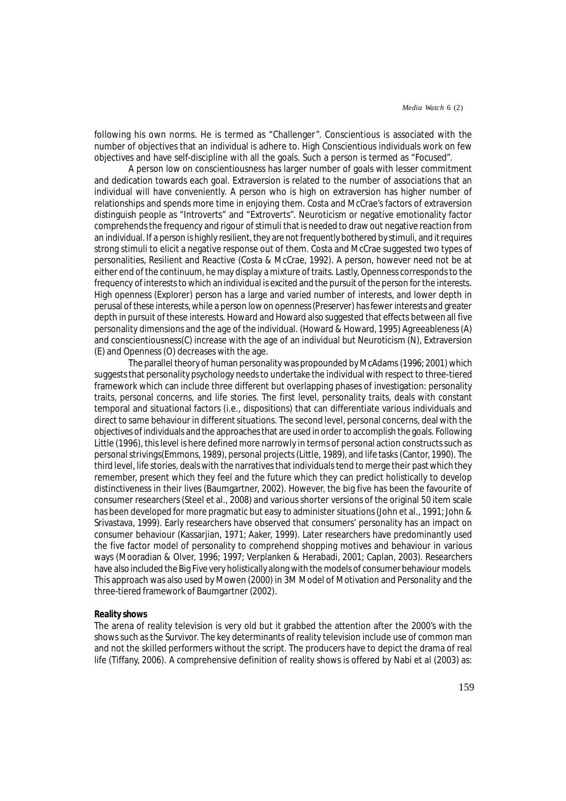following his own norms. He is termed as "Challenger". Conscientious is associated with the number of objectives that an individual is adhere to. High Conscientious individuals work on few objectives and have self-discipline with all the goals. Such a person is termed as "Focused".

A person low on conscientiousness has larger number of goals with lesser commitment and dedication towards each goal. Extraversion is related to the number of associations that an individual will have conveniently. A person who is high on extraversion has higher number of relationships and spends more time in enjoying them. Costa and McCrae's factors of extraversion distinguish people as "Introverts" and "Extroverts". Neuroticism or negative emotionality factor comprehends the frequency and rigour of stimuli that is needed to draw out negative reaction from an individual. If a person is highly resilient, they are not frequently bothered by stimuli, and it requires strong stimuli to elicit a negative response out of them. Costa and McCrae suggested two types of personalities, Resilient and Reactive (Costa & McCrae, 1992). A person, however need not be at either end of the continuum, he may display a mixture of traits. Lastly, Openness corresponds to the frequency of interests to which an individual is excited and the pursuit of the person for the interests. High openness (Explorer) person has a large and varied number of interests, and lower depth in perusal of these interests, while a person low on openness (Preserver) has fewer interests and greater depth in pursuit of these interests. Howard and Howard also suggested that effects between all five personality dimensions and the age of the individual. (Howard & Howard, 1995) Agreeableness (A) and conscientiousness(C) increase with the age of an individual but Neuroticism (N), Extraversion (E) and Openness (O) decreases with the age.

The parallel theory of human personality was propounded by McAdams (1996; 2001) which suggests that personality psychology needs to undertake the individual with respect to three-tiered framework which can include three different but overlapping phases of investigation: personality traits, personal concerns, and life stories. The first level, personality traits, deals with constant temporal and situational factors (i.e., dispositions) that can differentiate various individuals and direct to same behaviour in different situations. The second level, personal concerns, deal with the objectives of individuals and the approaches that are used in order to accomplish the goals. Following Little (1996), this level is here defined more narrowly in terms of personal action constructs such as personal strivings(Emmons, 1989), personal projects (Little, 1989), and life tasks (Cantor, 1990). The third level, life stories, deals with the narratives that individuals tend to merge their past which they remember, present which they feel and the future which they can predict holistically to develop distinctiveness in their lives (Baumgartner, 2002). However, the big five has been the favourite of consumer researchers (Steel et al., 2008) and various shorter versions of the original 50 item scale has been developed for more pragmatic but easy to administer situations (John et al., 1991; John & Srivastava, 1999). Early researchers have observed that consumers' personality has an impact on consumer behaviour (Kassarjian, 1971; Aaker, 1999). Later researchers have predominantly used the five factor model of personality to comprehend shopping motives and behaviour in various ways (Mooradian & Olver, 1996; 1997; Verplanken & Herabadi, 2001; Caplan, 2003). Researchers have also included the Big Five very holistically along with the models of consumer behaviour models. This approach was also used by Mowen (2000) in 3M Model of Motivation and Personality and the three-tiered framework of Baumgartner (2002).

# *Reality shows*

The arena of reality television is very old but it grabbed the attention after the 2000's with the shows such as the Survivor. The key determinants of reality television include use of common man and not the skilled performers without the script. The producers have to depict the drama of real life (Tiffany, 2006). A comprehensive definition of reality shows is offered by Nabi et al (2003) as: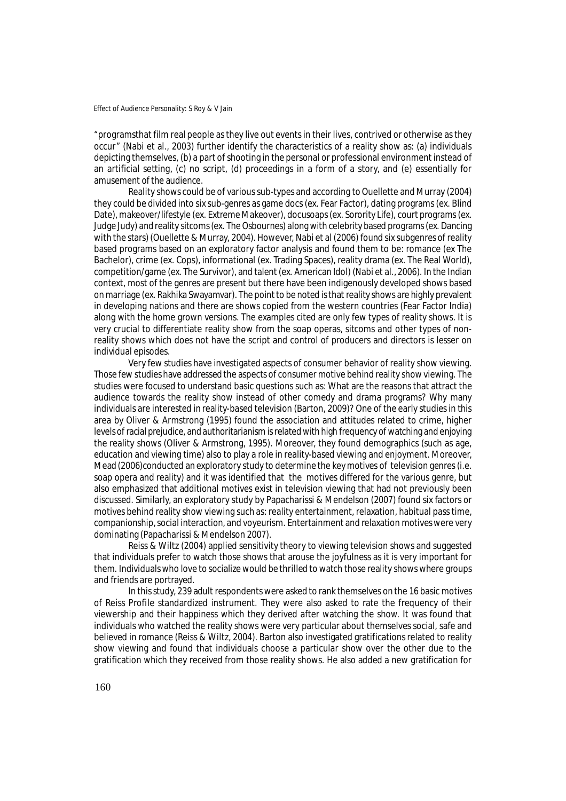"programsthat film real people as they live out events in their lives, contrived or otherwise as they occur" (Nabi et al., 2003) further identify the characteristics of a reality show as: (a) individuals depicting themselves, (b) a part of shooting in the personal or professional environment instead of an artificial setting, (c) no script, (d) proceedings in a form of a story, and (e) essentially for amusement of the audience.

Reality shows could be of various sub-types and according to Ouellette and Murray (2004) they could be divided into six sub-genres as game docs (ex. Fear Factor), dating programs (ex. Blind Date), makeover/lifestyle (ex. Extreme Makeover), docusoaps (ex. Sorority Life), court programs (ex. Judge Judy) and reality sitcoms (ex. The Osbournes) along with celebrity based programs (ex. Dancing with the stars) (Ouellette & Murray, 2004). However, Nabi et al (2006) found six subgenres of reality based programs based on an exploratory factor analysis and found them to be: romance (ex The Bachelor), crime (ex. Cops), informational (ex. Trading Spaces), reality drama (ex. The Real World), competition/game (ex. The Survivor), and talent (ex. American Idol) (Nabi et al., 2006). In the Indian context, most of the genres are present but there have been indigenously developed shows based on marriage (ex. Rakhika Swayamvar). The point to be noted is that reality shows are highly prevalent in developing nations and there are shows copied from the western countries (Fear Factor India) along with the home grown versions. The examples cited are only few types of reality shows. It is very crucial to differentiate reality show from the soap operas, sitcoms and other types of nonreality shows which does not have the script and control of producers and directors is lesser on individual episodes.

Very few studies have investigated aspects of consumer behavior of reality show viewing. Those few studies have addressed the aspects of consumer motive behind reality show viewing. The studies were focused to understand basic questions such as: What are the reasons that attract the audience towards the reality show instead of other comedy and drama programs? Why many individuals are interested in reality-based television (Barton, 2009)? One of the early studies in this area by Oliver & Armstrong (1995) found the association and attitudes related to crime, higher levels of racial prejudice, and authoritarianism is related with high frequency of watching and enjoying the reality shows (Oliver & Armstrong, 1995). Moreover, they found demographics (such as age, education and viewing time) also to play a role in reality-based viewing and enjoyment. Moreover, Mead (2006)conducted an exploratory study to determine the key motives of television genres (i.e. soap opera and reality) and it was identified that the motives differed for the various genre, but also emphasized that additional motives exist in television viewing that had not previously been discussed. Similarly, an exploratory study by Papacharissi & Mendelson (2007) found six factors or motives behind reality show viewing such as: reality entertainment, relaxation, habitual pass time, companionship, social interaction, and voyeurism. Entertainment and relaxation motives were very dominating (Papacharissi & Mendelson 2007).

Reiss & Wiltz (2004) applied sensitivity theory to viewing television shows and suggested that individuals prefer to watch those shows that arouse the joyfulness as it is very important for them. Individuals who love to socialize would be thrilled to watch those reality shows where groups and friends are portrayed.

In this study, 239 adult respondents were asked to rank themselves on the 16 basic motives of Reiss Profile standardized instrument. They were also asked to rate the frequency of their viewership and their happiness which they derived after watching the show. It was found that individuals who watched the reality shows were very particular about themselves social, safe and believed in romance (Reiss & Wiltz, 2004). Barton also investigated gratifications related to reality show viewing and found that individuals choose a particular show over the other due to the gratification which they received from those reality shows. He also added a new gratification for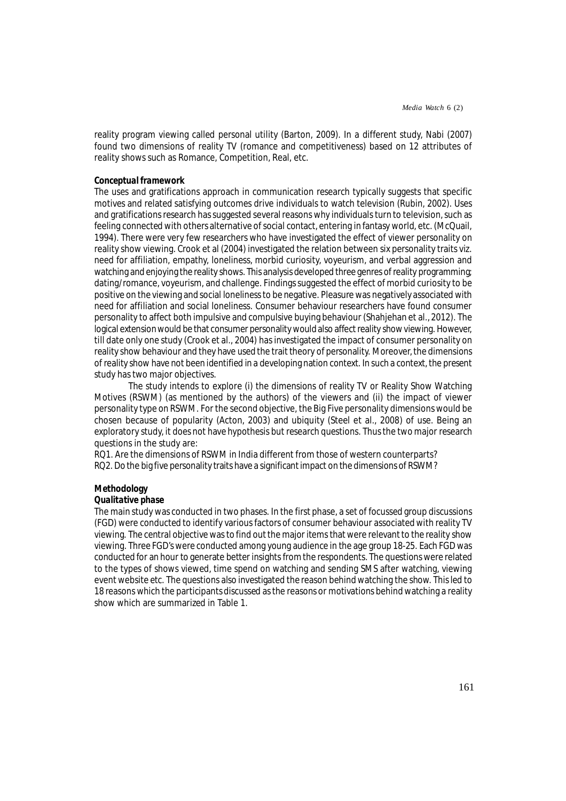reality program viewing called personal utility (Barton, 2009). In a different study, Nabi (2007) found two dimensions of reality TV (romance and competitiveness) based on 12 attributes of reality shows such as Romance, Competition, Real, etc.

## *Conceptual framework*

The uses and gratifications approach in communication research typically suggests that specific motives and related satisfying outcomes drive individuals to watch television (Rubin, 2002). Uses and gratifications research has suggested several reasons why individuals turn to television, such as feeling connected with others alternative of social contact, entering in fantasy world, etc. (McQuail, 1994). There were very few researchers who have investigated the effect of viewer personality on reality show viewing. Crook et al (2004) investigated the relation between six personality traits viz. need for affiliation, empathy, loneliness, morbid curiosity, voyeurism, and verbal aggression and watching and enjoying the reality shows. This analysis developed three genres of reality programming; dating/romance, voyeurism, and challenge. Findings suggested the effect of morbid curiosity to be positive on the viewing and social loneliness to be negative. Pleasure was negatively associated with need for affiliation and social loneliness. Consumer behaviour researchers have found consumer personality to affect both impulsive and compulsive buying behaviour (Shahjehan et al., 2012). The logical extension would be that consumer personality would also affect reality show viewing. However, till date only one study (Crook et al., 2004) has investigated the impact of consumer personality on reality show behaviour and they have used the trait theory of personality. Moreover, the dimensions of reality show have not been identified in a developing nation context. In such a context, the present study has two major objectives.

The study intends to explore (i) the dimensions of reality TV or Reality Show Watching Motives (RSWM) (as mentioned by the authors) of the viewers and (ii) the impact of viewer personality type on RSWM. For the second objective, the Big Five personality dimensions would be chosen because of popularity (Acton, 2003) and ubiquity (Steel et al., 2008) of use. Being an exploratory study, it does not have hypothesis but research questions. Thus the two major research questions in the study are:

RQ1. Are the dimensions of RSWM in India different from those of western counterparts? RQ2. Do the big five personality traits have a significant impact on the dimensions of RSWM?

#### **Methodology**

#### *Qualitative phase*

The main study was conducted in two phases. In the first phase, a set of focussed group discussions (FGD) were conducted to identify various factors of consumer behaviour associated with reality TV viewing. The central objective was to find out the major items that were relevant to the reality show viewing. Three FGD's were conducted among young audience in the age group 18-25. Each FGD was conducted for an hour to generate better insights from the respondents. The questions were related to the types of shows viewed, time spend on watching and sending SMS after watching, viewing event website etc. The questions also investigated the reason behind watching the show. This led to 18 reasons which the participants discussed as the reasons or motivations behind watching a reality show which are summarized in Table 1.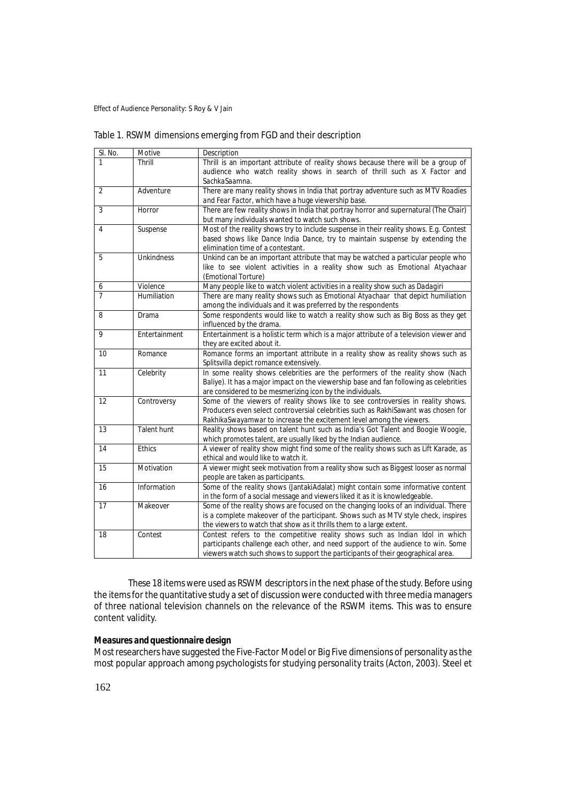| SI. No.        | Motive             | Description                                                                                                                                                                                                                                       |
|----------------|--------------------|---------------------------------------------------------------------------------------------------------------------------------------------------------------------------------------------------------------------------------------------------|
| 1              | Thrill             | Thrill is an important attribute of reality shows because there will be a group of<br>audience who watch reality shows in search of thrill such as X Factor and<br>SachkaSaamna.                                                                  |
| $\overline{2}$ | Adventure          | There are many reality shows in India that portray adventure such as MTV Roadies<br>and Fear Factor, which have a huge viewership base.                                                                                                           |
| 3              | Horror             | There are few reality shows in India that portray horror and supernatural (The Chair)<br>but many individuals wanted to watch such shows.                                                                                                         |
| 4              | Suspense           | Most of the reality shows try to include suspense in their reality shows. E.g. Contest<br>based shows like Dance India Dance, try to maintain suspense by extending the<br>elimination time of a contestant.                                      |
| 5              | <b>Unkindness</b>  | Unkind can be an important attribute that may be watched a particular people who<br>like to see violent activities in a reality show such as Emotional Atyachaar<br>(Emotional Torture)                                                           |
| 6              | Violence           | Many people like to watch violent activities in a reality show such as Dadagiri                                                                                                                                                                   |
| $\overline{7}$ | Humiliation        | There are many reality shows such as Emotional Atyachaar that depict humiliation<br>among the individuals and it was preferred by the respondents                                                                                                 |
| 8              | Drama              | Some respondents would like to watch a reality show such as Big Boss as they get<br>influenced by the drama.                                                                                                                                      |
| 9              | Entertainment      | Entertainment is a holistic term which is a major attribute of a television viewer and<br>they are excited about it.                                                                                                                              |
| 10             | Romance            | Romance forms an important attribute in a reality show as reality shows such as<br>Splitsvilla depict romance extensively.                                                                                                                        |
| 11             | Celebrity          | In some reality shows celebrities are the performers of the reality show (Nach<br>Baliye). It has a major impact on the viewership base and fan following as celebrities<br>are considered to be mesmerizing icon by the individuals.             |
| 12             | Controversy        | Some of the viewers of reality shows like to see controversies in reality shows.<br>Producers even select controversial celebrities such as RakhiSawant was chosen for<br>RakhikaSwayamwar to increase the excitement level among the viewers.    |
| 13             | <b>Talent hunt</b> | Reality shows based on talent hunt such as India's Got Talent and Boogie Woogie,<br>which promotes talent, are usually liked by the Indian audience.                                                                                              |
| 14             | <b>Ethics</b>      | A viewer of reality show might find some of the reality shows such as Lift Karade, as<br>ethical and would like to watch it.                                                                                                                      |
| 15             | Motivation         | A viewer might seek motivation from a reality show such as Biggest looser as normal<br>people are taken as participants.                                                                                                                          |
| 16             | Information        | Some of the reality shows (JantakiAdalat) might contain some informative content<br>in the form of a social message and viewers liked it as it is knowledgeable.                                                                                  |
| 17             | Makeover           | Some of the reality shows are focused on the changing looks of an individual. There<br>is a complete makeover of the participant. Shows such as MTV style check, inspires<br>the viewers to watch that show as it thrills them to a large extent. |
| 18             | Contest            | Contest refers to the competitive reality shows such as Indian Idol in which                                                                                                                                                                      |

These 18 items were used as RSWM descriptors in the next phase of the study. Before using the items for the quantitative study a set of discussion were conducted with three media managers of three national television channels on the relevance of the RSWM items. This was to ensure content validity.

participants challenge each other, and need support of the audience to win. Some viewers watch such shows to support the participants of their geographical area.

# *Measures and questionnaire design*

Most researchers have suggested the Five-Factor Model or Big Five dimensions of personality as the most popular approach among psychologists for studying personality traits (Acton, 2003). Steel et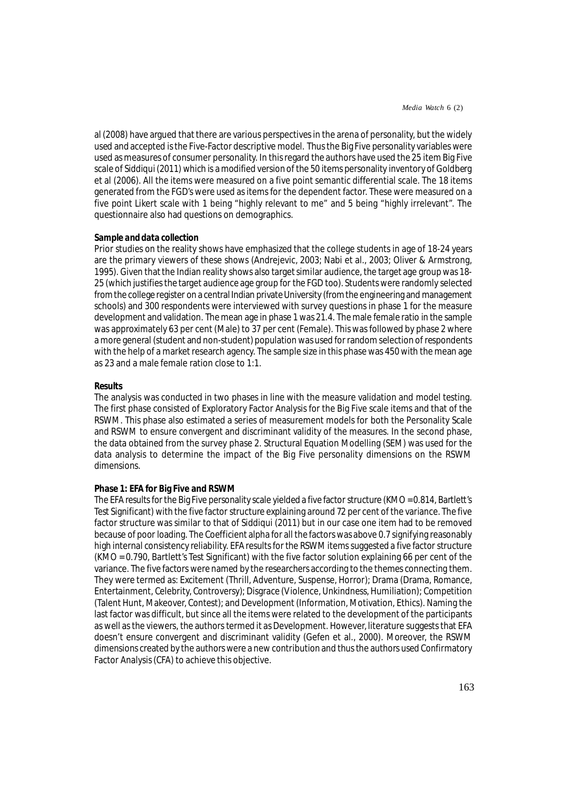al (2008) have argued that there are various perspectives in the arena of personality, but the widely used and accepted is the Five-Factor descriptive model. Thus the Big Five personality variables were used as measures of consumer personality. In this regard the authors have used the 25 item Big Five scale of Siddiqui (2011) which is a modified version of the 50 items personality inventory of Goldberg et al (2006). All the items were measured on a five point semantic differential scale. The 18 items generated from the FGD's were used as items for the dependent factor. These were measured on a five point Likert scale with 1 being "highly relevant to me" and 5 being "highly irrelevant". The questionnaire also had questions on demographics.

## *Sample and data collection*

Prior studies on the reality shows have emphasized that the college students in age of 18-24 years are the primary viewers of these shows (Andrejevic, 2003; Nabi et al., 2003; Oliver & Armstrong, 1995). Given that the Indian reality shows also target similar audience, the target age group was 18- 25 (which justifies the target audience age group for the FGD too). Students were randomly selected from the college register on a central Indian private University (from the engineering and management schools) and 300 respondents were interviewed with survey questions in phase 1 for the measure development and validation. The mean age in phase 1 was 21.4. The male female ratio in the sample was approximately 63 per cent (Male) to 37 per cent (Female). This was followed by phase 2 where a more general (student and non-student) population was used for random selection of respondents with the help of a market research agency. The sample size in this phase was 450 with the mean age as 23 and a male female ration close to 1:1.

## **Results**

The analysis was conducted in two phases in line with the measure validation and model testing. The first phase consisted of Exploratory Factor Analysis for the Big Five scale items and that of the RSWM. This phase also estimated a series of measurement models for both the Personality Scale and RSWM to ensure convergent and discriminant validity of the measures. In the second phase, the data obtained from the survey phase 2. Structural Equation Modelling (SEM) was used for the data analysis to determine the impact of the Big Five personality dimensions on the RSWM dimensions.

# **Phase 1: EFA for Big Five and RSWM**

The EFA results for the Big Five personality scale yielded a five factor structure (KMO = 0.814, Bartlett's Test Significant) with the five factor structure explaining around 72 per cent of the variance. The five factor structure was similar to that of Siddiqui (2011) but in our case one item had to be removed because of poor loading. The Coefficient alpha for all the factors was above 0.7 signifying reasonably high internal consistency reliability. EFA results for the RSWM items suggested a five factor structure (KMO = 0.790, Bartlett's Test Significant) with the five factor solution explaining 66 per cent of the variance. The five factors were named by the researchers according to the themes connecting them. They were termed as: Excitement (Thrill, Adventure, Suspense, Horror); Drama (Drama, Romance, Entertainment, Celebrity, Controversy); Disgrace (Violence, Unkindness, Humiliation); Competition (Talent Hunt, Makeover, Contest); and Development (Information, Motivation, Ethics). Naming the last factor was difficult, but since all the items were related to the development of the participants as well as the viewers, the authors termed it as Development. However, literature suggests that EFA doesn't ensure convergent and discriminant validity (Gefen et al., 2000). Moreover, the RSWM dimensions created by the authors were a new contribution and thus the authors used Confirmatory Factor Analysis (CFA) to achieve this objective.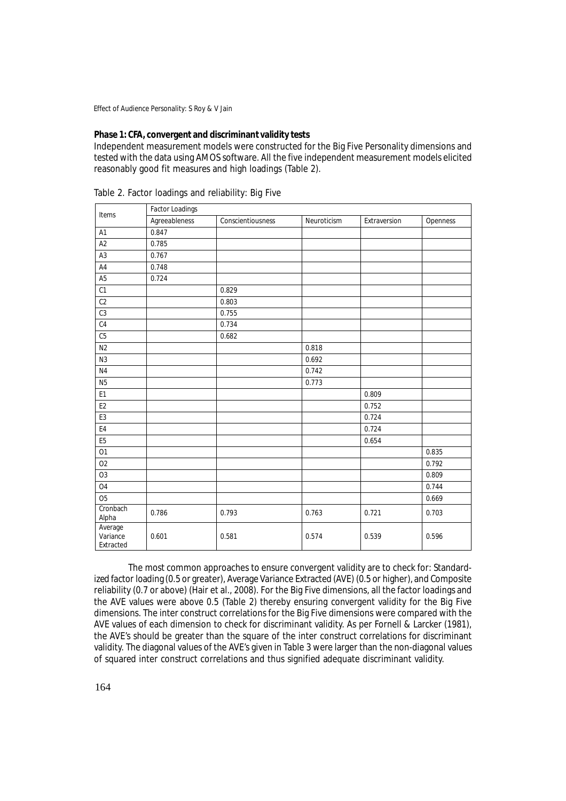# **Phase 1: CFA, convergent and discriminant validity tests**

Independent measurement models were constructed for the Big Five Personality dimensions and tested with the data using AMOS software. All the five independent measurement models elicited reasonably good fit measures and high loadings (Table 2).

| Items                            | <b>Factor Loadings</b> |                   |             |              |          |  |  |  |  |  |  |
|----------------------------------|------------------------|-------------------|-------------|--------------|----------|--|--|--|--|--|--|
|                                  | Agreeableness          | Conscientiousness | Neuroticism | Extraversion | Openness |  |  |  |  |  |  |
| A <sub>1</sub>                   | 0.847                  |                   |             |              |          |  |  |  |  |  |  |
| A2                               | 0.785                  |                   |             |              |          |  |  |  |  |  |  |
| A <sub>3</sub>                   | 0.767                  |                   |             |              |          |  |  |  |  |  |  |
| A4                               | 0.748                  |                   |             |              |          |  |  |  |  |  |  |
| A <sub>5</sub>                   | 0.724                  |                   |             |              |          |  |  |  |  |  |  |
| C1                               |                        | 0.829             |             |              |          |  |  |  |  |  |  |
| C2                               |                        | 0.803             |             |              |          |  |  |  |  |  |  |
| C <sub>3</sub>                   |                        | 0.755             |             |              |          |  |  |  |  |  |  |
| C4                               |                        | 0.734             |             |              |          |  |  |  |  |  |  |
| C <sub>5</sub>                   |                        | 0.682             |             |              |          |  |  |  |  |  |  |
| N <sub>2</sub>                   |                        |                   | 0.818       |              |          |  |  |  |  |  |  |
| N3                               |                        |                   | 0.692       |              |          |  |  |  |  |  |  |
| N <sub>4</sub>                   |                        |                   | 0.742       |              |          |  |  |  |  |  |  |
| <b>N5</b>                        |                        |                   | 0.773       |              |          |  |  |  |  |  |  |
| E1                               |                        |                   |             | 0.809        |          |  |  |  |  |  |  |
| E <sub>2</sub>                   |                        |                   |             | 0.752        |          |  |  |  |  |  |  |
| E3                               |                        |                   |             | 0.724        |          |  |  |  |  |  |  |
| E4                               |                        |                   |             | 0.724        |          |  |  |  |  |  |  |
| E <sub>5</sub>                   |                        |                   |             | 0.654        |          |  |  |  |  |  |  |
| 01                               |                        |                   |             |              | 0.835    |  |  |  |  |  |  |
| 02                               |                        |                   |             |              | 0.792    |  |  |  |  |  |  |
| O <sub>3</sub>                   |                        |                   |             |              | 0.809    |  |  |  |  |  |  |
| O <sub>4</sub>                   |                        |                   |             |              | 0.744    |  |  |  |  |  |  |
| $\overline{05}$                  |                        |                   |             |              | 0.669    |  |  |  |  |  |  |
| Cronbach<br>Alpha                | 0.786                  | 0.793             | 0.763       | 0.721        | 0.703    |  |  |  |  |  |  |
| Average<br>Variance<br>Extracted | 0.601                  | 0.581             | 0.574       | 0.539        | 0.596    |  |  |  |  |  |  |

Table 2. Factor loadings and reliability: Big Five

The most common approaches to ensure convergent validity are to check for: Standardized factor loading (0.5 or greater), Average Variance Extracted (AVE) (0.5 or higher), and Composite reliability (0.7 or above) (Hair et al., 2008). For the Big Five dimensions, all the factor loadings and the AVE values were above 0.5 (Table 2) thereby ensuring convergent validity for the Big Five dimensions. The inter construct correlations for the Big Five dimensions were compared with the AVE values of each dimension to check for discriminant validity. As per Fornell & Larcker (1981), the AVE's should be greater than the square of the inter construct correlations for discriminant validity. The diagonal values of the AVE's given in Table 3 were larger than the non-diagonal values of squared inter construct correlations and thus signified adequate discriminant validity.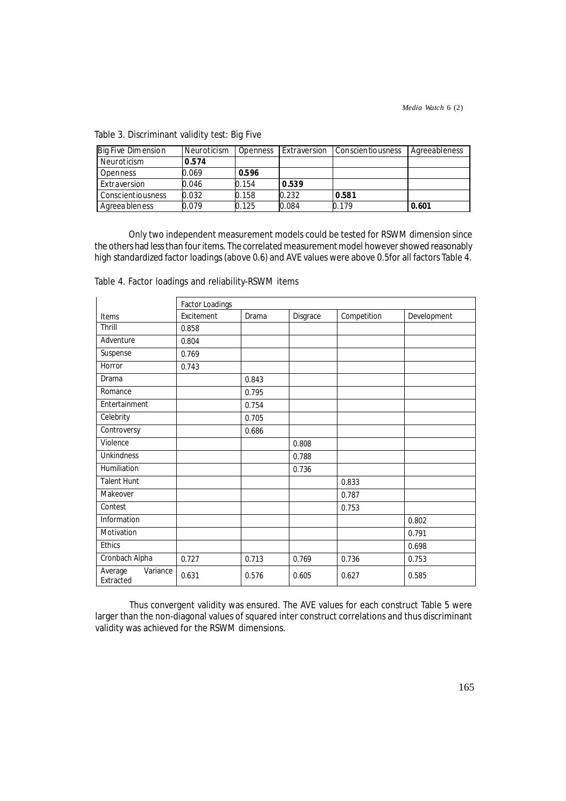| Big Five Dimension | Neuroticism | Openness | Extraversion | Conscientiousness | Agreeableness |
|--------------------|-------------|----------|--------------|-------------------|---------------|
| Neuroticism        | 0.574       |          |              |                   |               |
| Openness           | 0.069       | 0.596    |              |                   |               |
| Extraversion       | 0.046       | 0.154    | 0.539        |                   |               |
| Conscientiousness  | 0.032       | 0.158    | 0.232        | 0.581             |               |
| Agreea bleness     | 0.079       | 0.125    | 0.084        | 0.179             | 0.601         |

Table 3. Discriminant validity test: Big Five

Only two independent measurement models could be tested for RSWM dimension since the others had less than four items. The correlated measurement model however showed reasonably high standardized factor loadings (above 0.6) and AVE values were above 0.5for all factors Table 4.

|                                  | Factor Loadings |       |          |             |             |  |  |  |  |  |
|----------------------------------|-----------------|-------|----------|-------------|-------------|--|--|--|--|--|
| Items                            | Excitement      | Drama | Disgrace | Competition | Development |  |  |  |  |  |
| Thrill                           | 0.858           |       |          |             |             |  |  |  |  |  |
| Adventure                        | 0.804           |       |          |             |             |  |  |  |  |  |
| Suspense                         | 0.769           |       |          |             |             |  |  |  |  |  |
| Horror                           | 0.743           |       |          |             |             |  |  |  |  |  |
| Drama                            |                 | 0.843 |          |             |             |  |  |  |  |  |
| Romance                          |                 | 0.795 |          |             |             |  |  |  |  |  |
| Entertainment                    |                 | 0.754 |          |             |             |  |  |  |  |  |
| Celebrity                        |                 | 0.705 |          |             |             |  |  |  |  |  |
| Controversy                      |                 | 0.686 |          |             |             |  |  |  |  |  |
| Violence                         |                 |       | 0.808    |             |             |  |  |  |  |  |
| <b>Unkindness</b>                |                 |       | 0.788    |             |             |  |  |  |  |  |
| Humiliation                      |                 |       | 0.736    |             |             |  |  |  |  |  |
| <b>Talent Hunt</b>               |                 |       |          | 0.833       |             |  |  |  |  |  |
| Makeover                         |                 |       |          | 0.787       |             |  |  |  |  |  |
| Contest                          |                 |       |          | 0.753       |             |  |  |  |  |  |
| Information                      |                 |       |          |             | 0.802       |  |  |  |  |  |
| Motivation                       |                 |       |          |             | 0.791       |  |  |  |  |  |
| <b>Ethics</b>                    |                 |       |          |             | 0.698       |  |  |  |  |  |
| Cronbach Alpha                   | 0.727           | 0.713 | 0.769    | 0.736       | 0.753       |  |  |  |  |  |
| Variance<br>Average<br>Extracted | 0.631           | 0.576 | 0.605    | 0.627       | 0.585       |  |  |  |  |  |

Table 4. Factor loadings and reliability-RSWM items

Thus convergent validity was ensured. The AVE values for each construct Table 5 were larger than the non-diagonal values of squared inter construct correlations and thus discriminant validity was achieved for the RSWM dimensions.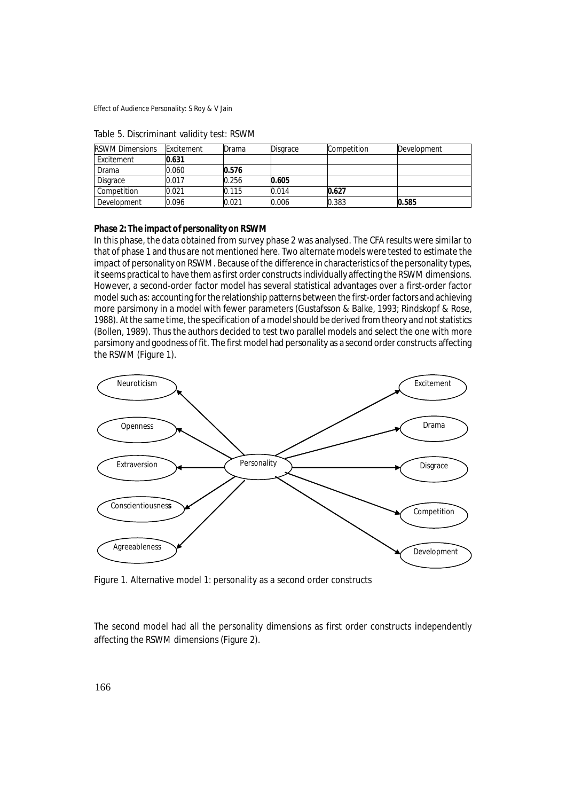| <b>RSWM Dimensions</b> | Excitement | Drama | Disgrace | Competition | Development |
|------------------------|------------|-------|----------|-------------|-------------|
| Excitement             | 0.631      |       |          |             |             |
| Drama                  | 0.060      | 0.576 |          |             |             |
| Disgrace               | 0.017      | 0.256 | 0.605    |             |             |
| Competition            | 0.021      | 0.115 | 0.014    | 0.627       |             |
| Development            | ን.096      | 0.021 | 0.006    | 0.383       | 0.585       |

Table 5. Discriminant validity test: RSWM

## **Phase 2: The impact of personality on RSWM**

In this phase, the data obtained from survey phase 2 was analysed. The CFA results were similar to that of phase 1 and thus are not mentioned here. Two alternate models were tested to estimate the impact of personality on RSWM. Because of the difference in characteristics of the personality types, it seems practical to have them as first order constructs individually affecting the RSWM dimensions. However, a second-order factor model has several statistical advantages over a first-order factor model such as: accounting for the relationship patterns between the first-order factors and achieving more parsimony in a model with fewer parameters (Gustafsson & Balke, 1993; Rindskopf & Rose, 1988). At the same time, the specification of a model should be derived from theory and not statistics (Bollen, 1989). Thus the authors decided to test two parallel models and select the one with more parsimony and goodness of fit. The first model had personality as a second order constructs affecting the RSWM (Figure 1).



Figure 1. Alternative model 1: personality as a second order constructs

The second model had all the personality dimensions as first order constructs independently affecting the RSWM dimensions (Figure 2).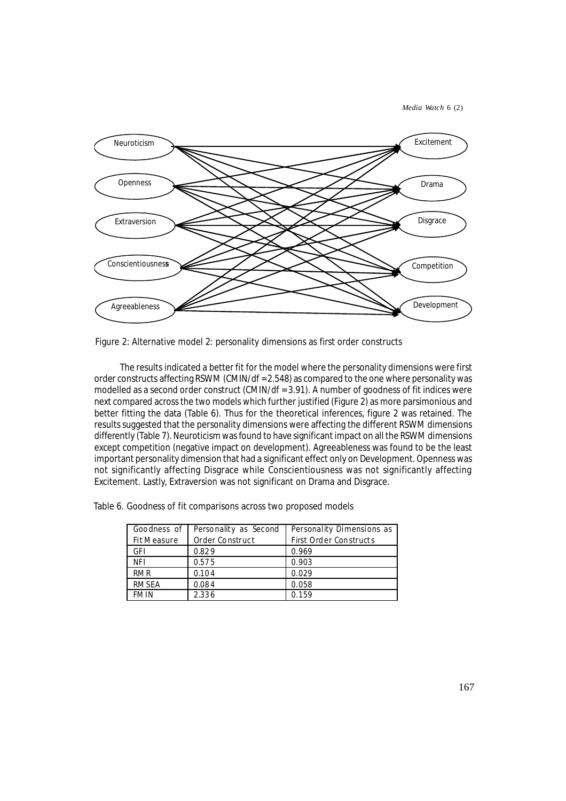*Media Watch* 6 (2)



Figure 2: Alternative model 2: personality dimensions as first order constructs

The results indicated a better fit for the model where the personality dimensions were first order constructs affecting RSWM (CMIN/df = 2.548) as compared to the one where personality was modelled as a second order construct (CMIN/df = 3.91). A number of goodness of fit indices were next compared across the two models which further justified (Figure 2) as more parsimonious and better fitting the data (Table 6). Thus for the theoretical inferences, figure 2 was retained. The results suggested that the personality dimensions were affecting the different RSWM dimensions differently (Table 7). Neuroticism was found to have significant impact on all the RSWM dimensions except competition (negative impact on development). Agreeableness was found to be the least important personality dimension that had a significant effect only on Development. Openness was not significantly affecting Disgrace while Conscientiousness was not significantly affecting Excitement. Lastly, Extraversion was not significant on Drama and Disgrace.

Table 6. Goodness of fit comparisons across two proposed models

| Goodness of  | Personality as Second | Personality Dimensions as     |  |  |  |  |
|--------------|-----------------------|-------------------------------|--|--|--|--|
| Fit Measure  | Order Construct       | <b>First Order Constructs</b> |  |  |  |  |
| GFI          | 0.829                 | 0.969                         |  |  |  |  |
| <b>NFI</b>   | 0.575                 | 0.903                         |  |  |  |  |
| <b>RMR</b>   | 0.104                 | 0.029                         |  |  |  |  |
| <b>RMSEA</b> | 0.084                 | 0.058                         |  |  |  |  |
| <b>FMIN</b>  | 2.336                 | 0.159                         |  |  |  |  |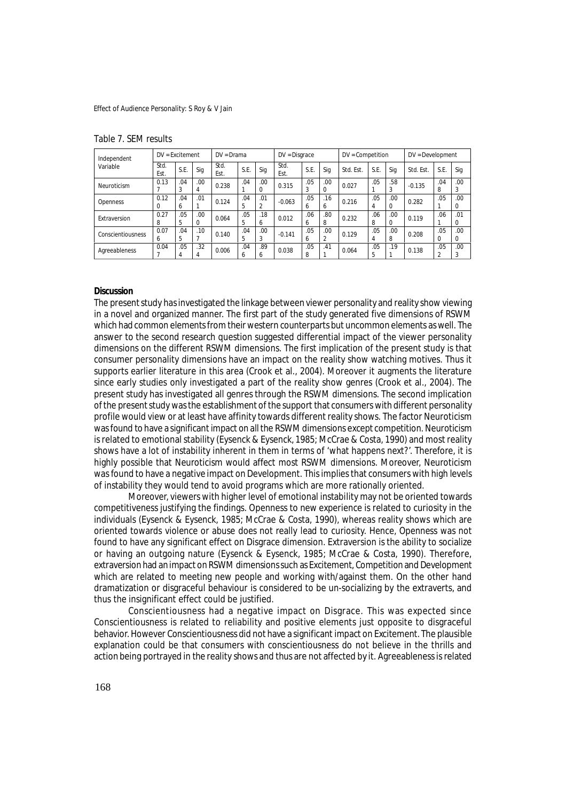| Independent       | $DV = Excitement$ |          |           | $DV = Drama$ |                     | $DV = Disgrace$       |              | DV = Competition |          |           | $DV = Development$ |          |           |                                |          |
|-------------------|-------------------|----------|-----------|--------------|---------------------|-----------------------|--------------|------------------|----------|-----------|--------------------|----------|-----------|--------------------------------|----------|
| Variable          | Std.<br>Est.      | S.E.     | Sig       | Std.<br>Est. | S.E.                | Sia                   | Std.<br>Est. | S.E.             | Sig      | Std. Est. | S.E.               | Sig      | Std. Est. | S.E.                           | Sig      |
| Neuroticism       | 0.13              | .04<br>3 | .00.<br>4 | 0.238        | .04                 | .00                   | 0.315        | .05<br>3         | .00      | 0.027     | .05                | .58      | $-0.135$  | .04<br>8                       | .00<br>3 |
| <b>Openness</b>   | 0.12<br>0         | .04<br>6 | .01       | 0.124        | .04<br>5            | .01<br>$\overline{2}$ | $-0.063$     | .05<br>6         | .16<br>6 | 0.216     | .05<br>4           | .00      | 0.282     | .05                            | .00<br>0 |
| Extraversion      | 0.27<br>8         | .05<br>5 | .00.      | 0.064        | .05<br>5            | .18<br>6              | 0.012        | .06<br>6         | .80<br>8 | 0.232     | .06<br>8           | .00      | 0.119     | .06                            | .01<br>0 |
| Conscientiousness | 0.07<br>O.        | .04<br>5 | .10       | 0.140        | .04<br>5            | .00.<br>3             | $-0.141$     | .05<br>6         | .00<br>2 | 0.129     | .05<br>4           | .00<br>8 | 0.208     | .05<br>$\Omega$                | .00<br>0 |
| Agreeableness     | 0.04              | .05<br>4 | .32<br>4  | 0.006        | .04<br><sub>6</sub> | .89<br>h              | 0.038        | .05<br>8         | .41      | 0.064     | .05<br>5           | .19      | 0.138     | .05<br>$\overline{\mathbf{c}}$ | .00<br>3 |

#### Table 7. SEM results

## **Discussion**

The present study has investigated the linkage between viewer personality and reality show viewing in a novel and organized manner. The first part of the study generated five dimensions of RSWM which had common elements from their western counterparts but uncommon elements as well. The answer to the second research question suggested differential impact of the viewer personality dimensions on the different RSWM dimensions. The first implication of the present study is that consumer personality dimensions have an impact on the reality show watching motives. Thus it supports earlier literature in this area (Crook et al., 2004). Moreover it augments the literature since early studies only investigated a part of the reality show genres (Crook et al., 2004). The present study has investigated all genres through the RSWM dimensions. The second implication of the present study was the establishment of the support that consumers with different personality profile would view or at least have affinity towards different reality shows. The factor Neuroticism was found to have a significant impact on all the RSWM dimensions except competition. Neuroticism is related to emotional stability (Eysenck & Eysenck, 1985; McCrae & Costa, 1990) and most reality shows have a lot of instability inherent in them in terms of 'what happens next?'. Therefore, it is highly possible that Neuroticism would affect most RSWM dimensions. Moreover, Neuroticism was found to have a negative impact on Development. This implies that consumers with high levels of instability they would tend to avoid programs which are more rationally oriented.

Moreover, viewers with higher level of emotional instability may not be oriented towards competitiveness justifying the findings. Openness to new experience is related to curiosity in the individuals (Eysenck & Eysenck, 1985; McCrae & Costa, 1990), whereas reality shows which are oriented towards violence or abuse does not really lead to curiosity. Hence, Openness was not found to have any significant effect on Disgrace dimension. Extraversion is the ability to socialize or having an outgoing nature (Eysenck & Eysenck, 1985; McCrae & Costa, 1990). Therefore, extraversion had an impact on RSWM dimensions such as Excitement, Competition and Development which are related to meeting new people and working with/against them. On the other hand dramatization or disgraceful behaviour is considered to be un-socializing by the extraverts, and thus the insignificant effect could be justified.

Conscientiousness had a negative impact on Disgrace. This was expected since Conscientiousness is related to reliability and positive elements just opposite to disgraceful behavior. However Conscientiousness did not have a significant impact on Excitement. The plausible explanation could be that consumers with conscientiousness do not believe in the thrills and action being portrayed in the reality shows and thus are not affected by it. Agreeableness is related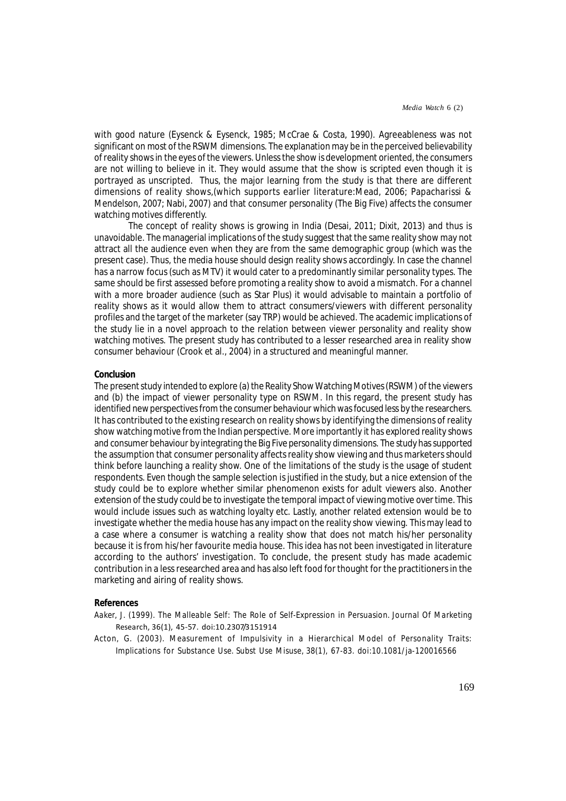with good nature (Eysenck & Eysenck, 1985; McCrae & Costa, 1990). Agreeableness was not significant on most of the RSWM dimensions. The explanation may be in the perceived believability of reality shows in the eyes of the viewers. Unless the show is development oriented, the consumers are not willing to believe in it. They would assume that the show is scripted even though it is portrayed as unscripted. Thus, the major learning from the study is that there are different dimensions of reality shows,(which supports earlier literature:Mead, 2006; Papacharissi & Mendelson, 2007; Nabi, 2007) and that consumer personality (The Big Five) affects the consumer watching motives differently.

The concept of reality shows is growing in India (Desai, 2011; Dixit, 2013) and thus is unavoidable. The managerial implications of the study suggest that the same reality show may not attract all the audience even when they are from the same demographic group (which was the present case). Thus, the media house should design reality shows accordingly. In case the channel has a narrow focus (such as MTV) it would cater to a predominantly similar personality types. The same should be first assessed before promoting a reality show to avoid a mismatch. For a channel with a more broader audience (such as Star Plus) it would advisable to maintain a portfolio of reality shows as it would allow them to attract consumers/viewers with different personality profiles and the target of the marketer (say TRP) would be achieved. The academic implications of the study lie in a novel approach to the relation between viewer personality and reality show watching motives. The present study has contributed to a lesser researched area in reality show consumer behaviour (Crook et al., 2004) in a structured and meaningful manner.

## **Conclusion**

The present study intended to explore (a) the Reality Show Watching Motives (RSWM) of the viewers and (b) the impact of viewer personality type on RSWM. In this regard, the present study has identified new perspectives from the consumer behaviour which was focused less by the researchers. It has contributed to the existing research on reality shows by identifying the dimensions of reality show watching motive from the Indian perspective. More importantly it has explored reality shows and consumer behaviour by integrating the Big Five personality dimensions. The study has supported the assumption that consumer personality affects reality show viewing and thus marketers should think before launching a reality show. One of the limitations of the study is the usage of student respondents. Even though the sample selection is justified in the study, but a nice extension of the study could be to explore whether similar phenomenon exists for adult viewers also. Another extension of the study could be to investigate the temporal impact of viewing motive over time. This would include issues such as watching loyalty etc. Lastly, another related extension would be to investigate whether the media house has any impact on the reality show viewing. This may lead to a case where a consumer is watching a reality show that does not match his/her personality because it is from his/her favourite media house. This idea has not been investigated in literature according to the authors' investigation. To conclude, the present study has made academic contribution in a less researched area and has also left food for thought for the practitioners in the marketing and airing of reality shows.

#### **References**

- Aaker, J. (1999). The Malleable Self: The Role of Self-Expression in Persuasion. Journal Of Marketing Research, 36(1), 45-57. doi:10.2307/3151914
- Acton, G. (2003). Measurement of Impulsivity in a Hierarchical Model of Personality Traits: Implications for Substance Use. Subst Use Misuse, 38(1), 67-83. doi:10.1081/ja-120016566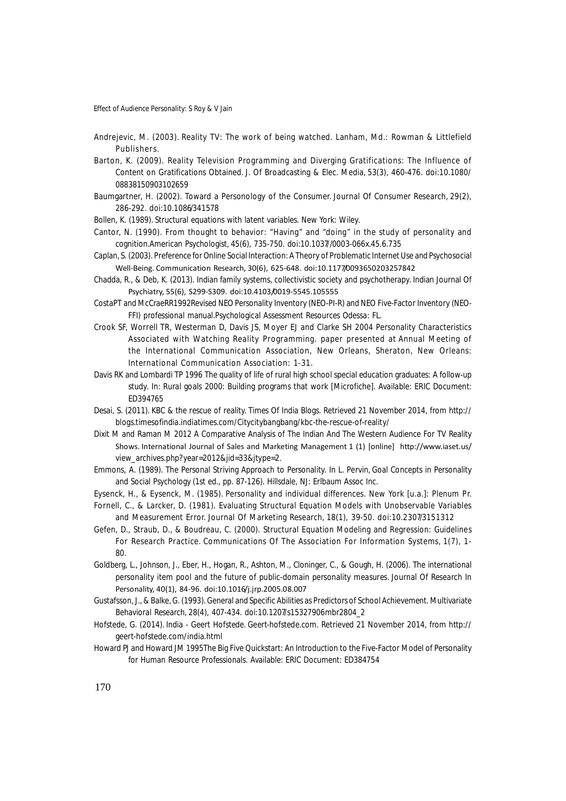- Andrejevic, M. (2003). Reality TV: The work of being watched. Lanham, Md.: Rowman & Littlefield Publishers.
- Barton, K. (2009). Reality Television Programming and Diverging Gratifications: The Influence of Content on Gratifications Obtained. J. Of Broadcasting & Elec. Media, 53(3), 460-476. doi:10.1080/ 08838150903102659
- Baumgartner, H. (2002). Toward a Personology of the Consumer. Journal Of Consumer Research, 29(2), 286-292. doi:10.1086/341578
- Bollen, K. (1989). Structural equations with latent variables. New York: Wiley.
- Cantor, N. (1990). From thought to behavior: "Having" and "doing" in the study of personality and cognition.American Psychologist, 45(6), 735-750. doi:10.1037//0003-066x.45.6.735
- Caplan, S. (2003). Preference for Online Social Interaction: A Theory of Problematic Internet Use and Psychosocial Well-Being. Communication Research, 30(6), 625-648. doi:10.1177/0093650203257842
- Chadda, R., & Deb, K. (2013). Indian family systems, collectivistic society and psychotherapy. Indian Journal Of Psychiatry, 55(6), S299-S309. doi:10.4103/0019-5545.105555
- CostaPT and McCraeRR1992Revised NEO Personality Inventory (NEO-PI-R) and NEO Five-Factor Inventory (NEO-FFI) professional manual.Psychological Assessment Resources Odessa: FL.
- Crook SF, Worrell TR, Westerman D, Davis JS, Moyer EJ and Clarke SH 2004 Personality Characteristics Associated with Watching Reality Programming. paper presented at Annual Meeting of the International Communication Association, New Orleans, Sheraton, New Orleans: International Communication Association: 1-31.
- Davis RK and Lombardi TP 1996 The quality of life of rural high school special education graduates: A follow-up study. In: Rural goals 2000: Building programs that work [Microfiche]. Available: ERIC Document: ED394765
- Desai, S. (2011). KBC & the rescue of reality. Times Of India Blogs. Retrieved 21 November 2014, from http:// blogs.timesofindia.indiatimes.com/Citycitybangbang/kbc-the-rescue-of-reality/
- Dixit M and Raman M 2012 A Comparative Analysis of The Indian And The Western Audience For TV Reality Shows. International Journal of Sales and Marketing Management 1 (1) [online] http://www.iaset.us/ view\_archives.php?year=2012&jid=33&jtype=2.
- Emmons, A. (1989). The Personal Striving Approach to Personality. In L. Pervin, Goal Concepts in Personality and Social Psychology (1st ed., pp. 87-126). Hillsdale, NJ: Erlbaum Assoc Inc.
- Eysenck, H., & Eysenck, M. (1985). Personality and individual differences. New York [u.a.]: Plenum Pr. Fornell, C., & Larcker, D. (1981). Evaluating Structural Equation Models with Unobservable Variables and Measurement Error. Journal Of Marketing Research, 18(1), 39-50. doi:10.2307/3151312
- Gefen, D., Straub, D., & Boudreau, C. (2000). Structural Equation Modeling and Regression: Guidelines For Research Practice. Communications Of The Association For Information Systems, 1(7), 1-  $80<sub>0</sub>$
- Goldberg, L., Johnson, J., Eber, H., Hogan, R., Ashton, M., Cloninger, C., & Gough, H. (2006). The international personality item pool and the future of public-domain personality measures. Journal Of Research In Personality, 40(1), 84-96. doi:10.1016/j.jrp.2005.08.007
- Gustafsson, J., & Balke, G. (1993). General and Specific Abilities as Predictors of School Achievement. Multivariate Behavioral Research, 28(4), 407-434. doi:10.1207/s15327906mbr2804\_2
- Hofstede, G. (2014). India Geert Hofstede. Geert-hofstede.com. Retrieved 21 November 2014, from http:// geert-hofstede.com/india.html
- Howard PJ and Howard JM 1995The Big Five Quickstart: An Introduction to the Five-Factor Model of Personality for Human Resource Professionals. Available: ERIC Document: ED384754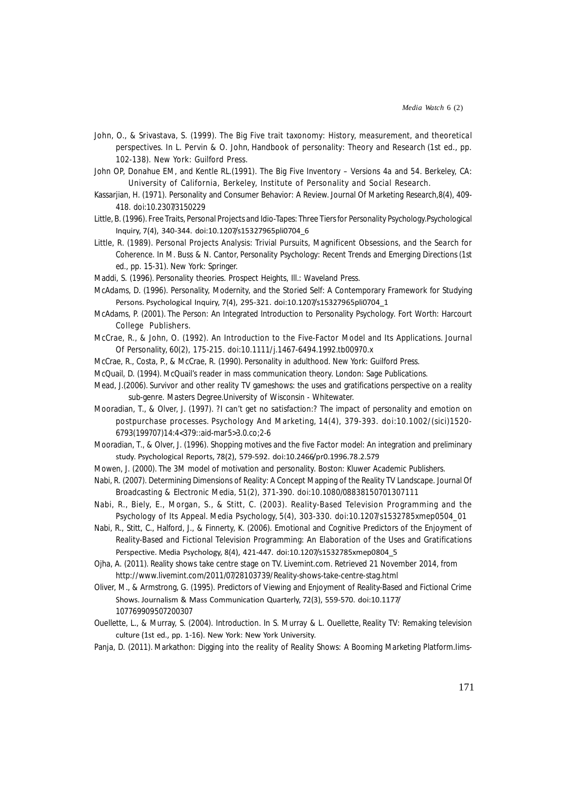- John, O., & Srivastava, S. (1999). The Big Five trait taxonomy: History, measurement, and theoretical perspectives. In L. Pervin & O. John, Handbook of personality: Theory and Research (1st ed., pp. 102-138). New York: Guilford Press.
- John OP, Donahue EM, and Kentle RL.(1991). The Big Five Inventory Versions 4a and 54. Berkeley, CA: University of California, Berkeley, Institute of Personality and Social Research.
- Kassarjian, H. (1971). Personality and Consumer Behavior: A Review. Journal Of Marketing Research,8(4), 409- 418. doi:10.2307/3150229
- Little, B. (1996). Free Traits, Personal Projects and Idio-Tapes: Three Tiers for Personality Psychology.Psychological Inquiry, 7(4), 340-344. doi:10.1207/s15327965pli0704\_6
- Little, R. (1989). Personal Projects Analysis: Trivial Pursuits, Magnificent Obsessions, and the Search for Coherence. In M. Buss & N. Cantor, Personality Psychology: Recent Trends and Emerging Directions (1st ed., pp. 15-31). New York: Springer.
- Maddi, S. (1996). Personality theories. Prospect Heights, Ill.: Waveland Press.
- McAdams, D. (1996). Personality, Modernity, and the Storied Self: A Contemporary Framework for Studying Persons. Psychological Inquiry, 7(4), 295-321. doi:10.1207/s15327965pli0704\_1
- McAdams, P. (2001). The Person: An Integrated Introduction to Personality Psychology. Fort Worth: Harcourt College Publishers.
- McCrae, R., & John, O. (1992). An Introduction to the Five-Factor Model and Its Applications. Journal Of Personality, 60(2), 175-215. doi:10.1111/j.1467-6494.1992.tb00970.x
- McCrae, R., Costa, P., & McCrae, R. (1990). Personality in adulthood. New York: Guilford Press.
- McQuail, D. (1994). McQuail's reader in mass communication theory. London: Sage Publications.
- Mead, J.(2006). Survivor and other reality TV gameshows: the uses and gratifications perspective on a reality sub-genre. Masters Degree.University of Wisconsin - Whitewater.
- Mooradian, T., & Olver, J. (1997). ?I can't get no satisfaction:? The impact of personality and emotion on postpurchase processes. Psychology And Marketing, 14(4), 379-393. doi:10.1002/(sici)1520- 6793(199707)14:4<379::aid-mar5>3.0.co;2-6
- Mooradian, T., & Olver, J. (1996). Shopping motives and the five Factor model: An integration and preliminary study. Psychological Reports, 78(2), 579-592. doi:10.2466/pr0.1996.78.2.579
- Mowen, J. (2000). The 3M model of motivation and personality. Boston: Kluwer Academic Publishers.
- Nabi, R. (2007). Determining Dimensions of Reality: A Concept Mapping of the Reality TV Landscape. Journal Of Broadcasting & Electronic Media, 51(2), 371-390. doi:10.1080/08838150701307111
- Nabi, R., Biely, E., Morgan, S., & Stitt, C. (2003). Reality-Based Television Programming and the Psychology of Its Appeal. Media Psychology, 5(4), 303-330. doi:10.1207/s1532785xmep0504\_01
- Nabi, R., Stitt, C., Halford, J., & Finnerty, K. (2006). Emotional and Cognitive Predictors of the Enjoyment of Reality-Based and Fictional Television Programming: An Elaboration of the Uses and Gratifications Perspective. Media Psychology, 8(4), 421-447. doi:10.1207/s1532785xmep0804\_5
- Ojha, A. (2011). Reality shows take centre stage on TV. Livemint.com. Retrieved 21 November 2014, from http://www.livemint.com/2011/07/28103739/Reality-shows-take-centre-stag.html
- Oliver, M., & Armstrong, G. (1995). Predictors of Viewing and Enjoyment of Reality-Based and Fictional Crime Shows. Journalism & Mass Communication Quarterly, 72(3), 559-570. doi:10.1177/ 107769909507200307
- Ouellette, L., & Murray, S. (2004). Introduction. In S. Murray & L. Ouellette, Reality TV: Remaking television culture (1st ed., pp. 1-16). New York: New York University.
- Panja, D. (2011). Markathon: Digging into the reality of Reality Shows: A Booming Marketing Platform.Iims-